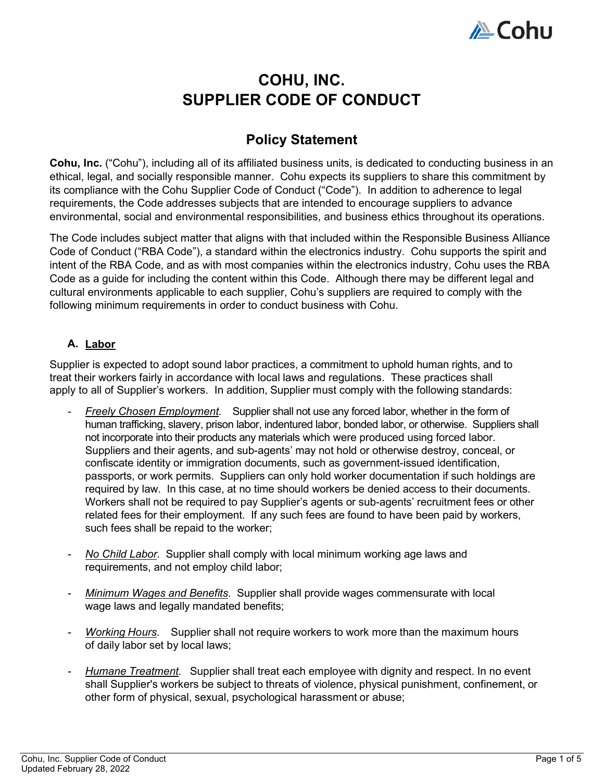

# **COHU, INC. SUPPLIER CODE OF CONDUCT**

## **Policy Statement**

**Cohu, Inc.** ("Cohu"), including all of its affiliated business units, is dedicated to conducting business in an ethical, legal, and socially responsible manner. Cohu expects its suppliers to share this commitment by its compliance with the Cohu Supplier Code of Conduct ("Code"). In addition to adherence to legal requirements, the Code addresses subjects that are intended to encourage suppliers to advance environmental, social and environmental responsibilities, and business ethics throughout its operations.

The Code includes subject matter that aligns with that included within the Responsible Business Alliance Code of Conduct ("RBA Code"), a standard within the electronics industry. Cohu supports the spirit and intent of the RBA Code, and as with most companies within the electronics industry, Cohu uses the RBA Code as a guide for including the content within this Code. Although there may be different legal and cultural environments applicable to each supplier, Cohu's suppliers are required to comply with the following minimum requirements in order to conduct business with Cohu.

### **A. Labor**

Supplier is expected to adopt sound labor practices, a commitment to uphold human rights, and to treat their workers fairly in accordance with local laws and regulations. These practices shall apply to all of Supplier's workers. In addition, Supplier must comply with the following standards:

- **Freely Chosen Employment.** Supplier shall not use any forced labor, whether in the form of human trafficking, slavery, prison labor, indentured labor, bonded labor, or otherwise. Suppliers shall not incorporate into their products any materials which were produced using forced labor. Suppliers and their agents, and sub-agents' may not hold or otherwise destroy, conceal, or confiscate identity or immigration documents, such as government-issued identification, passports, or work permits. Suppliers can only hold worker documentation if such holdings are required by law. In this case, at no time should workers be denied access to their documents. Workers shall not be required to pay Supplier's agents or sub-agents' recruitment fees or other related fees for their employment. If any such fees are found to have been paid by workers, such fees shall be repaid to the worker;
- *No Child Labor*. Supplier shall comply with local minimum working age laws and requirements, and not employ child labor;
- *Minimum Wages and Benefits*. Supplier shall provide wages commensurate with local wage laws and legally mandated benefits;
- *Working Hours.* Supplier shall not require workers to work more than the maximum hours of daily labor set by local laws;
- *Humane Treatment.* Supplier shall treat each employee with dignity and respect. In no event shall Supplier's workers be subject to threats of violence, physical punishment, confinement, or other form of physical, sexual, psychological harassment or abuse;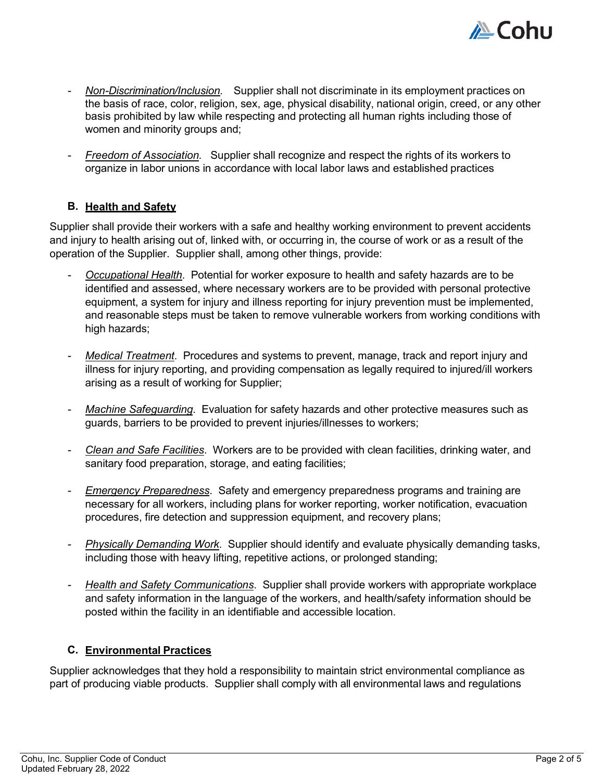

- *Non-Discrimination/Inclusion.* Supplier shall not discriminate in its employment practices on the basis of race, color, religion, sex, age, physical disability, national origin, creed, or any other basis prohibited by law while respecting and protecting all human rights including those of women and minority groups and;
- *Freedom of Association.* Supplier shall recognize and respect the rights of its workers to organize in labor unions in accordance with local labor laws and established practices

### **B. Health and Safety**

Supplier shall provide their workers with a safe and healthy working environment to prevent accidents and injury to health arising out of, linked with, or occurring in, the course of work or as a result of the operation of the Supplier. Supplier shall, among other things, provide:

- *Occupational Health*. Potential for worker exposure to health and safety hazards are to be identified and assessed, where necessary workers are to be provided with personal protective equipment, a system for injury and illness reporting for injury prevention must be implemented, and reasonable steps must be taken to remove vulnerable workers from working conditions with high hazards;
- *Medical Treatment*. Procedures and systems to prevent, manage, track and report injury and illness for injury reporting, and providing compensation as legally required to injured/ill workers arising as a result of working for Supplier;
- *Machine Safeguarding*. Evaluation for safety hazards and other protective measures such as guards, barriers to be provided to prevent injuries/illnesses to workers;
- *Clean and Safe Facilities*. Workers are to be provided with clean facilities, drinking water, and sanitary food preparation, storage, and eating facilities;
- *Emergency Preparedness.* Safety and emergency preparedness programs and training are necessary for all workers, including plans for worker reporting, worker notification, evacuation procedures, fire detection and suppression equipment, and recovery plans;
- *Physically Demanding Work*. Supplier should identify and evaluate physically demanding tasks, including those with heavy lifting, repetitive actions, or prolonged standing;
- *Health and Safety Communications*. Supplier shall provide workers with appropriate workplace and safety information in the language of the workers, and health/safety information should be posted within the facility in an identifiable and accessible location.

#### **C. Environmental Practices**

Supplier acknowledges that they hold a responsibility to maintain strict environmental compliance as part of producing viable products. Supplier shall comply with all environmental laws and regulations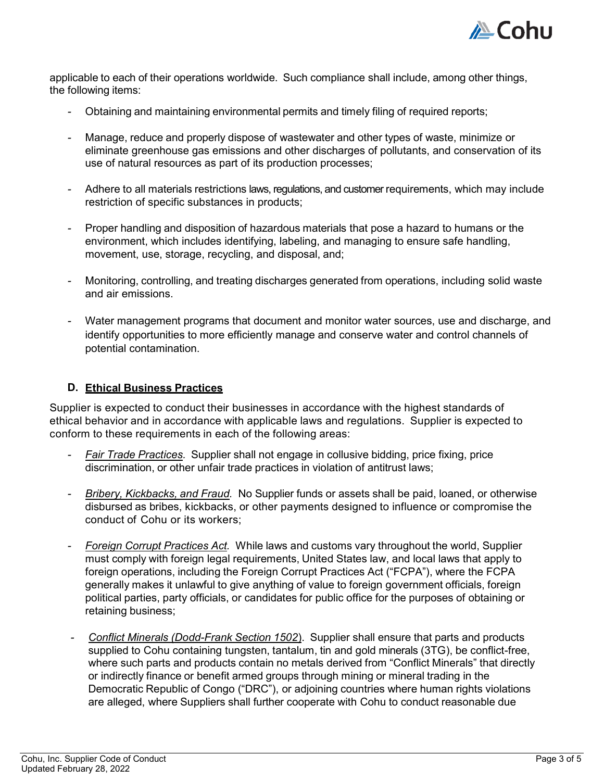

applicable to each of their operations worldwide. Such compliance shall include, among other things, the following items:

- Obtaining and maintaining environmental permits and timely filing of required reports;
- Manage, reduce and properly dispose of wastewater and other types of waste, minimize or eliminate greenhouse gas emissions and other discharges of pollutants, and conservation of its use of natural resources as part of its production processes;
- Adhere to all materials restrictions laws, regulations, and customer requirements, which may include restriction of specific substances in products;
- Proper handling and disposition of hazardous materials that pose a hazard to humans or the environment, which includes identifying, labeling, and managing to ensure safe handling, movement, use, storage, recycling, and disposal, and;
- Monitoring, controlling, and treating discharges generated from operations, including solid waste and air emissions.
- Water management programs that document and monitor water sources, use and discharge, and identify opportunities to more efficiently manage and conserve water and control channels of potential contamination.

#### **D. Ethical Business Practices**

Supplier is expected to conduct their businesses in accordance with the highest standards of ethical behavior and in accordance with applicable laws and regulations. Supplier is expected to conform to these requirements in each of the following areas:

- *Fair Trade Practices.* Supplier shall not engage in collusive bidding, price fixing, price discrimination, or other unfair trade practices in violation of antitrust laws;
- *Bribery, Kickbacks, and Fraud.* No Supplier funds or assets shall be paid, loaned, or otherwise disbursed as bribes, kickbacks, or other payments designed to influence or compromise the conduct of Cohu or its workers;
- *Foreign Corrupt Practices Act.* While laws and customs vary throughout the world, Supplier must comply with foreign legal requirements, United States law, and local laws that apply to foreign operations, including the Foreign Corrupt Practices Act ("FCPA"), where the FCPA generally makes it unlawful to give anything of value to foreign government officials, foreign political parties, party officials, or candidates for public office for the purposes of obtaining or retaining business;
- *Conflict Minerals (Dodd-Frank Section 1502*). Supplier shall ensure that parts and products supplied to Cohu containing tungsten, tantalum, tin and gold minerals (3TG), be conflict-free, where such parts and products contain no metals derived from "Conflict Minerals" that directly or indirectly finance or benefit armed groups through mining or mineral trading in the Democratic Republic of Congo ("DRC"), or adjoining countries where human rights violations are alleged, where Suppliers shall further cooperate with Cohu to conduct reasonable due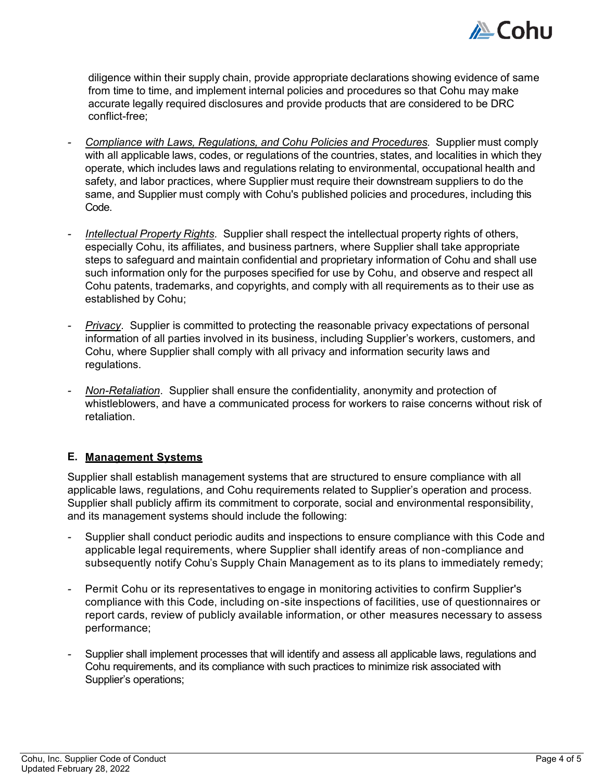

diligence within their supply chain, provide appropriate declarations showing evidence of same from time to time, and implement internal policies and procedures so that Cohu may make accurate legally required disclosures and provide products that are considered to be DRC conflict-free;

- *Compliance with Laws, Regulations, and Cohu Policies and Procedures.* Supplier must comply with all applicable laws, codes, or regulations of the countries, states, and localities in which they operate, which includes laws and regulations relating to environmental, occupational health and safety, and labor practices, where Supplier must require their downstream suppliers to do the same, and Supplier must comply with Cohu's published policies and procedures, including this Code.
- *Intellectual Property Rights.* Supplier shall respect the intellectual property rights of others, especially Cohu, its affiliates, and business partners, where Supplier shall take appropriate steps to safeguard and maintain confidential and proprietary information of Cohu and shall use such information only for the purposes specified for use by Cohu, and observe and respect all Cohu patents, trademarks, and copyrights, and comply with all requirements as to their use as established by Cohu;
- **Privacy.** Supplier is committed to protecting the reasonable privacy expectations of personal information of all parties involved in its business, including Supplier's workers, customers, and Cohu, where Supplier shall comply with all privacy and information security laws and regulations.
- *Non-Retaliation*. Supplier shall ensure the confidentiality, anonymity and protection of whistleblowers, and have a communicated process for workers to raise concerns without risk of retaliation.

#### **E. Management Systems**

Supplier shall establish management systems that are structured to ensure compliance with all applicable laws, regulations, and Cohu requirements related to Supplier's operation and process. Supplier shall publicly affirm its commitment to corporate, social and environmental responsibility, and its management systems should include the following:

- Supplier shall conduct periodic audits and inspections to ensure compliance with this Code and applicable legal requirements, where Supplier shall identify areas of non -compliance and subsequently notify Cohu's Supply Chain Management as to its plans to immediately remedy;
- Permit Cohu or its representatives to engage in monitoring activities to confirm Supplier's compliance with this Code, including on -site inspections of facilities, use of questionnaires or report cards, review of publicly available information, or other measures necessary to assess performance;
- Supplier shall implement processes that will identify and assess all applicable laws, regulations and Cohu requirements, and its compliance with such practices to minimize risk associated with Supplier's operations;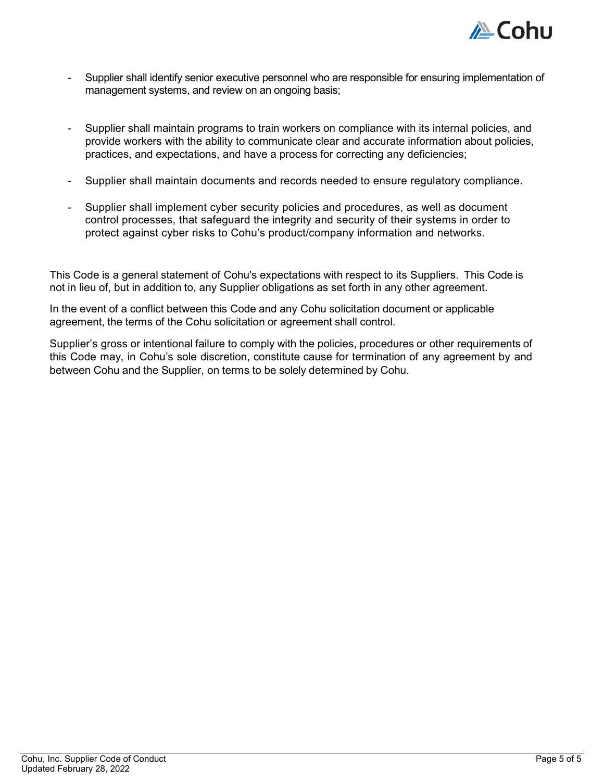

- Supplier shall identify senior executive personnel who are responsible for ensuring implementation of management systems, and review on an ongoing basis;
- Supplier shall maintain programs to train workers on compliance with its internal policies, and provide workers with the ability to communicate clear and accurate information about policies, practices, and expectations, and have a process for correcting any deficiencies;
- Supplier shall maintain documents and records needed to ensure regulatory compliance.
- Supplier shall implement cyber security policies and procedures, as well as document control processes, that safeguard the integrity and security of their systems in order to protect against cyber risks to Cohu's product/company information and networks.

This Code is a general statement of Cohu's expectations with respect to its Suppliers. This Code is not in lieu of, but in addition to, any Supplier obligations as set forth in any other agreement.

In the event of a conflict between this Code and any Cohu solicitation document or applicable agreement, the terms of the Cohu solicitation or agreement shall control.

Supplier's gross or intentional failure to comply with the policies, procedures or other requirements of this Code may, in Cohu's sole discretion, constitute cause for termination of any agreement by and between Cohu and the Supplier, on terms to be solely determined by Cohu.